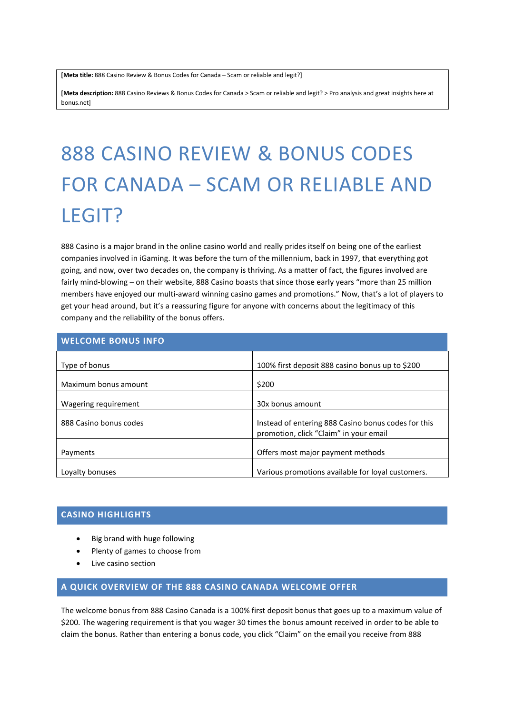**[Meta title:** 888 Casino Review & Bonus Codes for Canada – Scam or reliable and legit?]

**[Meta description:** 888 Casino Reviews & Bonus Codes for Canada > Scam or reliable and legit? > Pro analysis and great insights here at bonus.net]

# 888 CASINO REVIEW & BONUS CODES FOR CANADA – SCAM OR RELIABLE AND LEGIT?

888 Casino is a major brand in the online casino world and really prides itself on being one of the earliest companies involved in iGaming. It was before the turn of the millennium, back in 1997, that everything got going, and now, over two decades on, the company is thriving. As a matter of fact, the figures involved are fairly mind-blowing – on their website, 888 Casino boasts that since those early years "more than 25 million members have enjoyed our multi-award winning casino games and promotions." Now, that's a lot of players to get your head around, but it's a reassuring figure for anyone with concerns about the legitimacy of this company and the reliability of the bonus offers.

| <b>WELCOME BONUS INFO</b> |                                                                                               |
|---------------------------|-----------------------------------------------------------------------------------------------|
| Type of bonus             | 100% first deposit 888 casino bonus up to \$200                                               |
| Maximum bonus amount      | \$200                                                                                         |
| Wagering requirement      | 30x bonus amount                                                                              |
| 888 Casino bonus codes    | Instead of entering 888 Casino bonus codes for this<br>promotion, click "Claim" in your email |
| Payments                  | Offers most major payment methods                                                             |
| Loyalty bonuses           | Various promotions available for loval customers.                                             |

# **CASINO HIGHLIGHTS**

- Big brand with huge following
- Plenty of games to choose from
- Live casino section

# **A QUICK OVERVIEW OF THE 888 CASINO CANADA WELCOME OFFER**

The welcome bonus from 888 Casino Canada is a 100% first deposit bonus that goes up to a maximum value of \$200. The wagering requirement is that you wager 30 times the bonus amount received in order to be able to claim the bonus. Rather than entering a bonus code, you click "Claim" on the email you receive from 888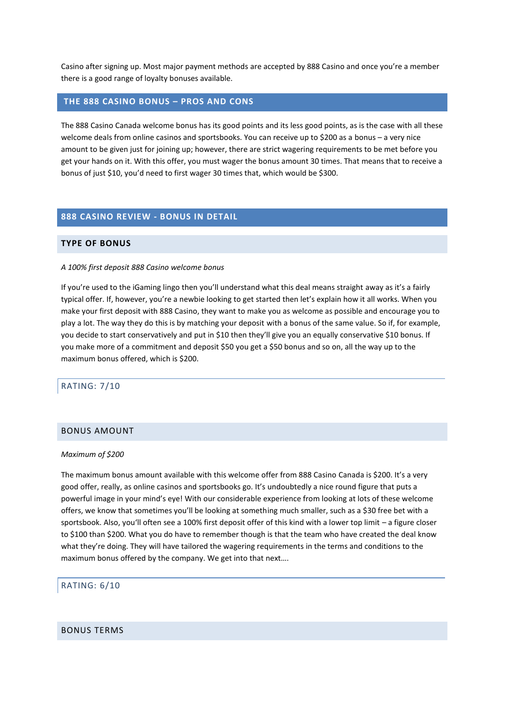Casino after signing up. Most major payment methods are accepted by 888 Casino and once you're a member there is a good range of loyalty bonuses available.

## **THE 888 CASINO BONUS – PROS AND CONS**

The 888 Casino Canada welcome bonus has its good points and its less good points, as is the case with all these welcome deals from online casinos and sportsbooks. You can receive up to \$200 as a bonus – a very nice amount to be given just for joining up; however, there are strict wagering requirements to be met before you get your hands on it. With this offer, you must wager the bonus amount 30 times. That means that to receive a bonus of just \$10, you'd need to first wager 30 times that, which would be \$300.

## **888 CASINO REVIEW - BONUS IN DETAIL**

## **TYPE OF BONUS**

#### *A 100% first deposit 888 Casino welcome bonus*

If you're used to the iGaming lingo then you'll understand what this deal means straight away as it's a fairly typical offer. If, however, you're a newbie looking to get started then let's explain how it all works. When you make your first deposit with 888 Casino, they want to make you as welcome as possible and encourage you to play a lot. The way they do this is by matching your deposit with a bonus of the same value. So if, for example, you decide to start conservatively and put in \$10 then they'll give you an equally conservative \$10 bonus. If you make more of a commitment and deposit \$50 you get a \$50 bonus and so on, all the way up to the maximum bonus offered, which is \$200.

## RATING: 7/10

#### BONUS AMOUNT

#### *Maximum of \$200*

The maximum bonus amount available with this welcome offer from 888 Casino Canada is \$200. It's a very good offer, really, as online casinos and sportsbooks go. It's undoubtedly a nice round figure that puts a powerful image in your mind's eye! With our considerable experience from looking at lots of these welcome offers, we know that sometimes you'll be looking at something much smaller, such as a \$30 free bet with a sportsbook. Also, you'll often see a 100% first deposit offer of this kind with a lower top limit – a figure closer to \$100 than \$200. What you do have to remember though is that the team who have created the deal know what they're doing. They will have tailored the wagering requirements in the terms and conditions to the maximum bonus offered by the company. We get into that next….

#### RATING: 6/10

### BONUS TERMS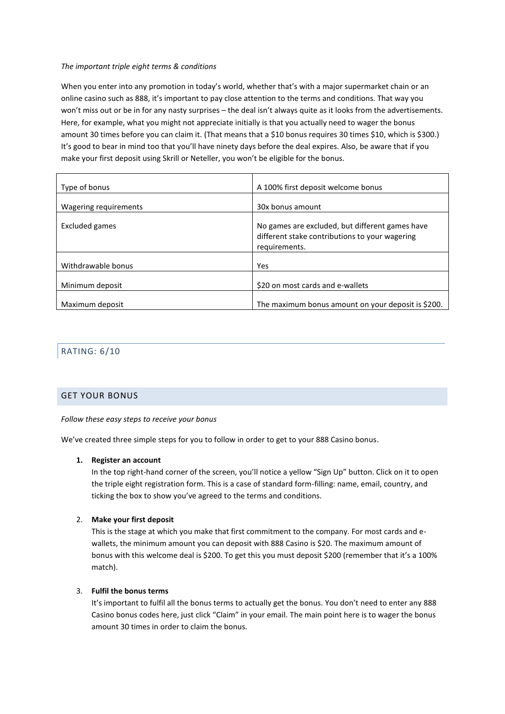## *The important triple eight terms & conditions*

When you enter into any promotion in today's world, whether that's with a major supermarket chain or an online casino such as 888, it's important to pay close attention to the terms and conditions. That way you won't miss out or be in for any nasty surprises – the deal isn't always quite as it looks from the advertisements. Here, for example, what you might not appreciate initially is that you actually need to wager the bonus amount 30 times before you can claim it. (That means that a \$10 bonus requires 30 times \$10, which is \$300.) It's good to bear in mind too that you'll have ninety days before the deal expires. Also, be aware that if you make your first deposit using Skrill or Neteller, you won't be eligible for the bonus.

| Type of bonus         | A 100% first deposit welcome bonus                                                                                 |
|-----------------------|--------------------------------------------------------------------------------------------------------------------|
| Wagering requirements | 30x bonus amount                                                                                                   |
| Excluded games        | No games are excluded, but different games have<br>different stake contributions to your wagering<br>requirements. |
| Withdrawable bonus    | Yes                                                                                                                |
| Minimum deposit       | \$20 on most cards and e-wallets                                                                                   |
| Maximum deposit       | The maximum bonus amount on your deposit is \$200.                                                                 |

# RATING: 6/10

## GET YOUR BONUS

#### *Follow these easy steps to receive your bonus*

We've created three simple steps for you to follow in order to get to your 888 Casino bonus.

## **1. Register an account**

In the top right-hand corner of the screen, you'll notice a yellow "Sign Up" button. Click on it to open the triple eight registration form. This is a case of standard form-filling: name, email, country, and ticking the box to show you've agreed to the terms and conditions.

## 2. **Make your first deposit**

This is the stage at which you make that first commitment to the company. For most cards and ewallets, the minimum amount you can deposit with 888 Casino is \$20. The maximum amount of bonus with this welcome deal is \$200. To get this you must deposit \$200 (remember that it's a 100% match).

## 3. **Fulfil the bonus terms**

It's important to fulfil all the bonus terms to actually get the bonus. You don't need to enter any 888 Casino bonus codes here, just click "Claim" in your email. The main point here is to wager the bonus amount 30 times in order to claim the bonus.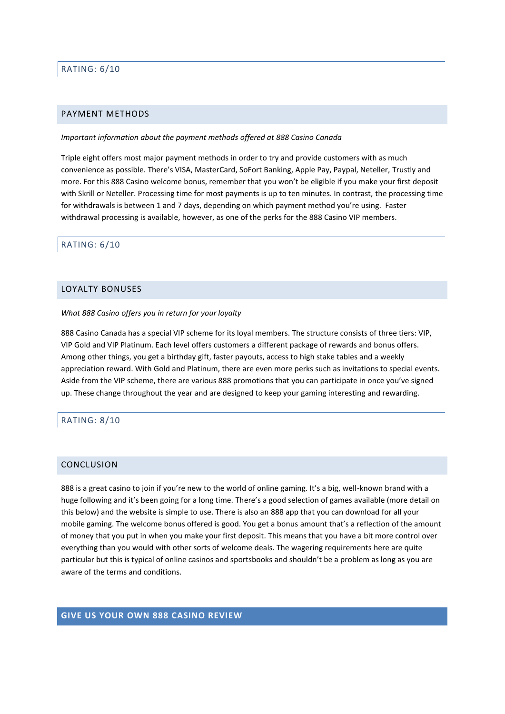# RATING: 6/10

#### PAYMENT METHODS

#### *Important information about the payment methods offered at 888 Casino Canada*

Triple eight offers most major payment methods in order to try and provide customers with as much convenience as possible. There's VISA, MasterCard, SoFort Banking, Apple Pay, Paypal, Neteller, Trustly and more. For this 888 Casino welcome bonus, remember that you won't be eligible if you make your first deposit with Skrill or Neteller. Processing time for most payments is up to ten minutes. In contrast, the processing time for withdrawals is between 1 and 7 days, depending on which payment method you're using. Faster withdrawal processing is available, however, as one of the perks for the 888 Casino VIP members.

#### RATING: 6/10

# LOYALTY BONUSES

#### *What 888 Casino offers you in return for your loyalty*

888 Casino Canada has a special VIP scheme for its loyal members. The structure consists of three tiers: VIP, VIP Gold and VIP Platinum. Each level offers customers a different package of rewards and bonus offers. Among other things, you get a birthday gift, faster payouts, access to high stake tables and a weekly appreciation reward. With Gold and Platinum, there are even more perks such as invitations to special events. Aside from the VIP scheme, there are various 888 promotions that you can participate in once you've signed up. These change throughout the year and are designed to keep your gaming interesting and rewarding.

### RATING: 8/10

## CONCLUSION

888 is a great casino to join if you're new to the world of online gaming. It's a big, well-known brand with a huge following and it's been going for a long time. There's a good selection of games available (more detail on this below) and the website is simple to use. There is also an 888 app that you can download for all your mobile gaming. The welcome bonus offered is good. You get a bonus amount that's a reflection of the amount of money that you put in when you make your first deposit. This means that you have a bit more control over everything than you would with other sorts of welcome deals. The wagering requirements here are quite particular but this is typical of online casinos and sportsbooks and shouldn't be a problem as long as you are aware of the terms and conditions.

# **GIVE US YOUR OWN 888 CASINO REVIEW**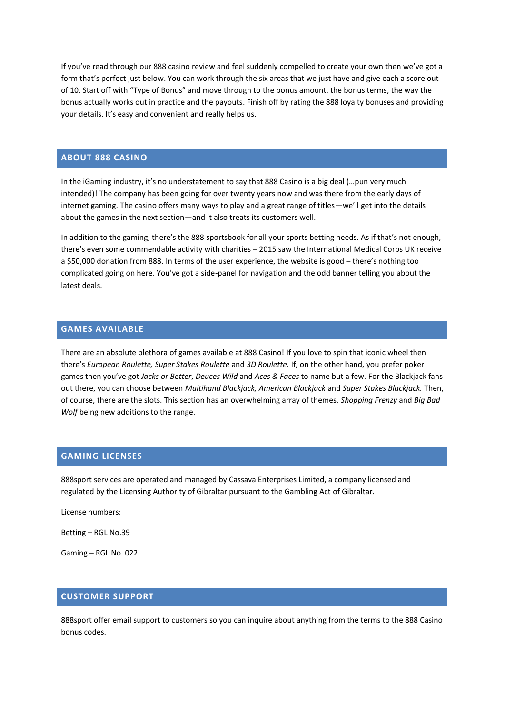If you've read through our 888 casino review and feel suddenly compelled to create your own then we've got a form that's perfect just below. You can work through the six areas that we just have and give each a score out of 10. Start off with "Type of Bonus" and move through to the bonus amount, the bonus terms, the way the bonus actually works out in practice and the payouts. Finish off by rating the 888 loyalty bonuses and providing your details. It's easy and convenient and really helps us.

# **ABOUT 888 CASINO**

In the iGaming industry, it's no understatement to say that 888 Casino is a big deal (…pun very much intended)! The company has been going for over twenty years now and was there from the early days of internet gaming. The casino offers many ways to play and a great range of titles—we'll get into the details about the games in the next section—and it also treats its customers well.

In addition to the gaming, there's the 888 sportsbook for all your sports betting needs. As if that's not enough, there's even some commendable activity with charities – 2015 saw the International Medical Corps UK receive a \$50,000 donation from 888. In terms of the user experience, the website is good – there's nothing too complicated going on here. You've got a side-panel for navigation and the odd banner telling you about the latest deals.

# **GAMES AVAILABLE**

There are an absolute plethora of games available at 888 Casino! If you love to spin that iconic wheel then there's *European Roulette, Super Stakes Roulette* and *3D Roulette.* If, on the other hand, you prefer poker games then you've got *Jacks or Better*, *Deuces Wild* and *Aces & Faces* to name but a few. For the Blackjack fans out there, you can choose between *Multihand Blackjack, American Blackjack* and *Super Stakes Blackjack.* Then, of course, there are the slots. This section has an overwhelming array of themes, *Shopping Frenzy* and *Big Bad Wolf* being new additions to the range.

# **GAMING LICENSES**

888sport services are operated and managed by Cassava Enterprises Limited, a company licensed and regulated by the Licensing Authority of Gibraltar pursuant to the Gambling Act of Gibraltar.

License numbers:

Betting – RGL No.39

Gaming – RGL No. 022

# **CUSTOMER SUPPORT**

888sport offer email support to customers so you can inquire about anything from the terms to the 888 Casino bonus codes.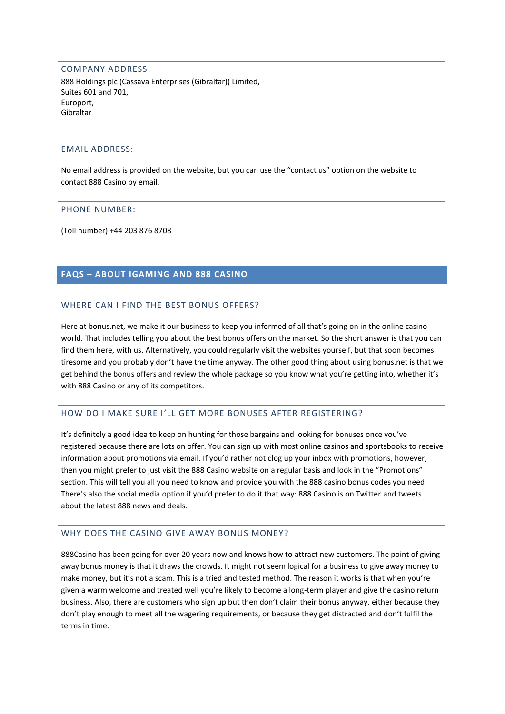#### COMPANY ADDRESS:

888 Holdings plc (Cassava Enterprises (Gibraltar)) Limited, Suites 601 and 701, Europort, Gibraltar

## EMAIL ADDRESS:

No email address is provided on the website, but you can use the "contact us" option on the website to contact 888 Casino by email.

#### PHONE NUMBER:

(Toll number) +44 203 876 8708

# **FAQS – ABOUT IGAMING AND 888 CASINO**

## WHERE CAN I FIND THE BEST BONUS OFFERS?

Here at bonus.net, we make it our business to keep you informed of all that's going on in the online casino world. That includes telling you about the best bonus offers on the market. So the short answer is that you can find them here, with us. Alternatively, you could regularly visit the websites yourself, but that soon becomes tiresome and you probably don't have the time anyway. The other good thing about using bonus.net is that we get behind the bonus offers and review the whole package so you know what you're getting into, whether it's with 888 Casino or any of its competitors.

## HOW DO I MAKE SURE I'LL GET MORE BONUSES AFTER REGISTERING?

It's definitely a good idea to keep on hunting for those bargains and looking for bonuses once you've registered because there are lots on offer. You can sign up with most online casinos and sportsbooks to receive information about promotions via email. If you'd rather not clog up your inbox with promotions, however, then you might prefer to just visit the 888 Casino website on a regular basis and look in the "Promotions" section. This will tell you all you need to know and provide you with the 888 casino bonus codes you need. There's also the social media option if you'd prefer to do it that way: 888 Casino is on Twitter and tweets about the latest 888 news and deals.

## WHY DOES THE CASINO GIVE AWAY BONUS MONEY?

888Casino has been going for over 20 years now and knows how to attract new customers. The point of giving away bonus money is that it draws the crowds. It might not seem logical for a business to give away money to make money, but it's not a scam. This is a tried and tested method. The reason it works is that when you're given a warm welcome and treated well you're likely to become a long-term player and give the casino return business. Also, there are customers who sign up but then don't claim their bonus anyway, either because they don't play enough to meet all the wagering requirements, or because they get distracted and don't fulfil the terms in time.